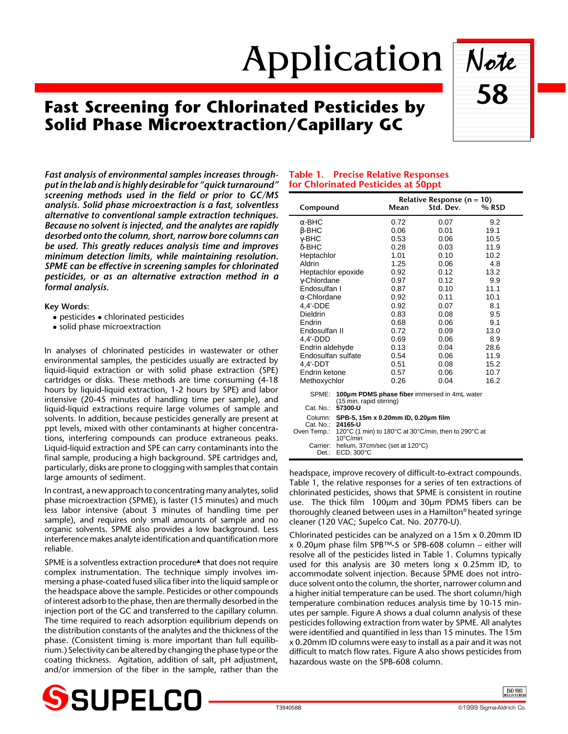# Application Note

# **Fast Screening for Chlorinated Pesticides by Solid Phase Microextraction/Capillary GC**

*Fast analysis of environmental samples increases throughput in the lab and is highly desirable for "quick turnaround" screening methods used in the field or prior to GC/MS analysis. Solid phase microextraction is a fast, solventless alternative to conventional sample extraction techniques. Because no solvent is injected, and the analytes are rapidly desorbed onto the column, short, narrow bore columns can be used. This greatly reduces analysis time and improves minimum detection limits, while maintaining resolution. SPME can be effective in screening samples for chlorinated pesticides, or as an alternative extraction method in a formal analysis.*

#### **Key Words:**

- $\bullet$  pesticides  $\bullet$  chlorinated pesticides
- solid phase microextraction

In analyses of chlorinated pesticides in wastewater or other environmental samples, the pesticides usually are extracted by liquid-liquid extraction or with solid phase extraction (SPE) cartridges or disks. These methods are time consuming (4-18 hours by liquid-liquid extraction, 1-2 hours by SPE) and labor intensive (20-45 minutes of handling time per sample), and liquid-liquid extractions require large volumes of sample and solvents. In addition, because pesticides generally are present at ppt levels, mixed with other contaminants at higher concentrations, interfering compounds can produce extraneous peaks. Liquid-liquid extraction and SPE can carry contaminants into the final sample, producing a high background. SPE cartridges and, particularly, disks are prone to clogging with samples that contain large amounts of sediment.

In contrast, a new approach to concentrating many analytes, solid phase microextraction (SPME), is faster (15 minutes) and much less labor intensive (about 3 minutes of handling time per sample), and requires only small amounts of sample and no organic solvents. SPME also provides a low background. Less interference makes analyte identification and quantification more reliable.

SPME is a solventless extraction procedure<sup>▲</sup> that does not require complex instrumentation. The technique simply involves immersing a phase-coated fused silica fiber into the liquid sample or the headspace above the sample. Pesticides or other compounds of interest adsorb to the phase, then are thermally desorbed in the injection port of the GC and transferred to the capillary column. The time required to reach adsorption equilibrium depends on the distribution constants of the analytes and the thickness of the phase. (Consistent timing is more important than full equilibrium.) Selectivity can be altered by changing the phase type or the coating thickness. Agitation, addition of salt, pH adjustment, and/or immersion of the fiber in the sample, rather than the

## **Table 1. Precise Relative Responses for Chlorinated Pesticides at 50ppt**

| Compound                 |                                                                                                                            | Mean | Relative Response ( $n = 10$ )<br>Std. Dev. | % RSD |
|--------------------------|----------------------------------------------------------------------------------------------------------------------------|------|---------------------------------------------|-------|
| $\alpha$ -BHC            |                                                                                                                            | 0.72 | 0.07                                        | 9.2   |
| β-BHC                    |                                                                                                                            | 0.06 | 0.01                                        | 19.1  |
| γ-BHC                    |                                                                                                                            | 0.53 | 0.06                                        | 10.5  |
| $\delta$ -BHC            |                                                                                                                            | 0.28 | 0.03                                        | 11.9  |
| Heptachlor               |                                                                                                                            | 1.01 | 0.10                                        | 10.2  |
| Aldrin                   |                                                                                                                            | 1.25 | 0.06                                        | 4.8   |
| Heptachlor epoxide       |                                                                                                                            | 0.92 | 0.12                                        | 13.2  |
| γ-Chlordane              |                                                                                                                            | 0.97 | 0.12                                        | 9.9   |
| Endosulfan I             |                                                                                                                            | 0.87 | 0.10                                        | 11.1  |
| $\alpha$ -Chlordane      |                                                                                                                            | 0.92 | 0.11                                        | 10.1  |
| 4.4'-DDE                 |                                                                                                                            | 0.92 | 0.07                                        | 8.1   |
| Dieldrin                 |                                                                                                                            | 0.83 | 0.08                                        | 9.5   |
| Endrin                   |                                                                                                                            | 0.68 | 0.06                                        | 9.1   |
| Endosulfan II            |                                                                                                                            | 0.72 | 0.09                                        | 13.0  |
| 4.4'-DDD                 |                                                                                                                            | 0.69 | 0.06                                        | 8.9   |
| Endrin aldehyde          |                                                                                                                            | 0.13 | 0.04                                        | 28.6  |
| Endosulfan sulfate       |                                                                                                                            | 0.54 | 0.06                                        | 11.9  |
| 4.4'-DDT                 |                                                                                                                            | 0.51 | 0.08                                        | 15.2  |
| Endrin ketone            |                                                                                                                            | 0.57 | 0.06                                        | 10.7  |
| Methoxychlor             |                                                                                                                            | 0.26 | 0.04                                        | 16.2  |
| SPME:                    | 100um PDMS phase fiber immersed in 4mL water<br>(15 min, rapid stirring)                                                   |      |                                             |       |
| Cat. No.:                | 57300-U                                                                                                                    |      |                                             |       |
| Cat. No.:<br>Oven Temp.: | Column: SPB-5, 15m x 0.20mm ID, 0.20um film<br>24165-U<br>120°C (1 min) to 180°C at 30°C/min, then to 290°C at<br>10°C/min |      |                                             |       |
| Carrier:<br>Det.:        | helium, 37cm/sec (set at 120°C)<br>$ECD.300^{\circ}C$                                                                      |      |                                             |       |

headspace, improve recovery of difficult-to-extract compounds. Table 1, the relative responses for a series of ten extractions of chlorinated pesticides, shows that SPME is consistent in routine use. The thick film 100µm and 30µm PDMS fibers can be thoroughly cleaned between uses in a Hamilton® heated syringe cleaner (120 VAC; Supelco Cat. No. 20770-U).

Chlorinated pesticides can be analyzed on a 15m x 0.20mm ID x 0.20µm phase film SPB™-5 or SPB-608 column – either will resolve all of the pesticides listed in Table 1. Columns typically used for this analysis are 30 meters long x 0.25mm ID, to accommodate solvent injection. Because SPME does not introduce solvent onto the column, the shorter, narrower column and a higher initial temperature can be used. The short column/high temperature combination reduces analysis time by 10-15 minutes per sample. Figure A shows a dual column analysis of these pesticides following extraction from water by SPME. All analytes were identified and quantified in less than 15 minutes. The 15m x 0.20mm ID columns were easy to install as a pair and it was not difficult to match flow rates. Figure A also shows pesticides from hazardous waste on the SPB-608 column.